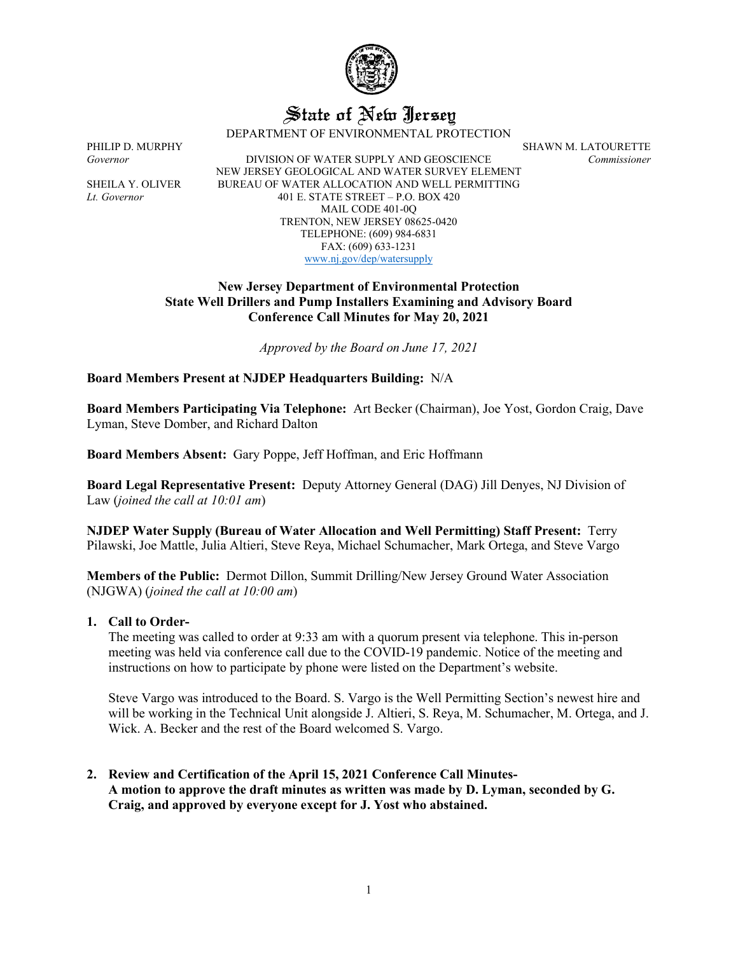

# State of New Jersey

DEPARTMENT OF ENVIRONMENTAL PROTECTION

*Governor* DIVISION OF WATER SUPPLY AND GEOSCIENCE *Commissioner* NEW JERSEY GEOLOGICAL AND WATER SURVEY ELEMENT SHEILA Y. OLIVER BUREAU OF WATER ALLOCATION AND WELL PERMITTING *Lt. Governor* 401 E. STATE STREET – P.O. BOX 420 MAIL CODE 401-0Q TRENTON, NEW JERSEY 08625-0420 TELEPHONE: (609) 984-6831 FAX: (609) 633-1231 [www.nj.gov/dep/watersupply](http://www.nj.gov/dep/watersupply)

# **New Jersey Department of Environmental Protection State Well Drillers and Pump Installers Examining and Advisory Board Conference Call Minutes for May 20, 2021**

*Approved by the Board on June 17, 2021*

**Board Members Present at NJDEP Headquarters Building:** N/A

**Board Members Participating Via Telephone:** Art Becker (Chairman), Joe Yost, Gordon Craig, Dave Lyman, Steve Domber, and Richard Dalton

**Board Members Absent:** Gary Poppe, Jeff Hoffman, and Eric Hoffmann

**Board Legal Representative Present:** Deputy Attorney General (DAG) Jill Denyes, NJ Division of Law (*joined the call at 10:01 am*)

**NJDEP Water Supply (Bureau of Water Allocation and Well Permitting) Staff Present:** Terry Pilawski, Joe Mattle, Julia Altieri, Steve Reya, Michael Schumacher, Mark Ortega, and Steve Vargo

**Members of the Public:** Dermot Dillon, Summit Drilling/New Jersey Ground Water Association (NJGWA) (*joined the call at 10:00 am*)

# **1. Call to Order-**

The meeting was called to order at 9:33 am with a quorum present via telephone. This in-person meeting was held via conference call due to the COVID-19 pandemic. Notice of the meeting and instructions on how to participate by phone were listed on the Department's website.

Steve Vargo was introduced to the Board. S. Vargo is the Well Permitting Section's newest hire and will be working in the Technical Unit alongside J. Altieri, S. Reya, M. Schumacher, M. Ortega, and J. Wick. A. Becker and the rest of the Board welcomed S. Vargo.

**2. Review and Certification of the April 15, 2021 Conference Call Minutes-A motion to approve the draft minutes as written was made by D. Lyman, seconded by G. Craig, and approved by everyone except for J. Yost who abstained.**

PHILIP D. MURPHY SHAWN M. LATOURETTE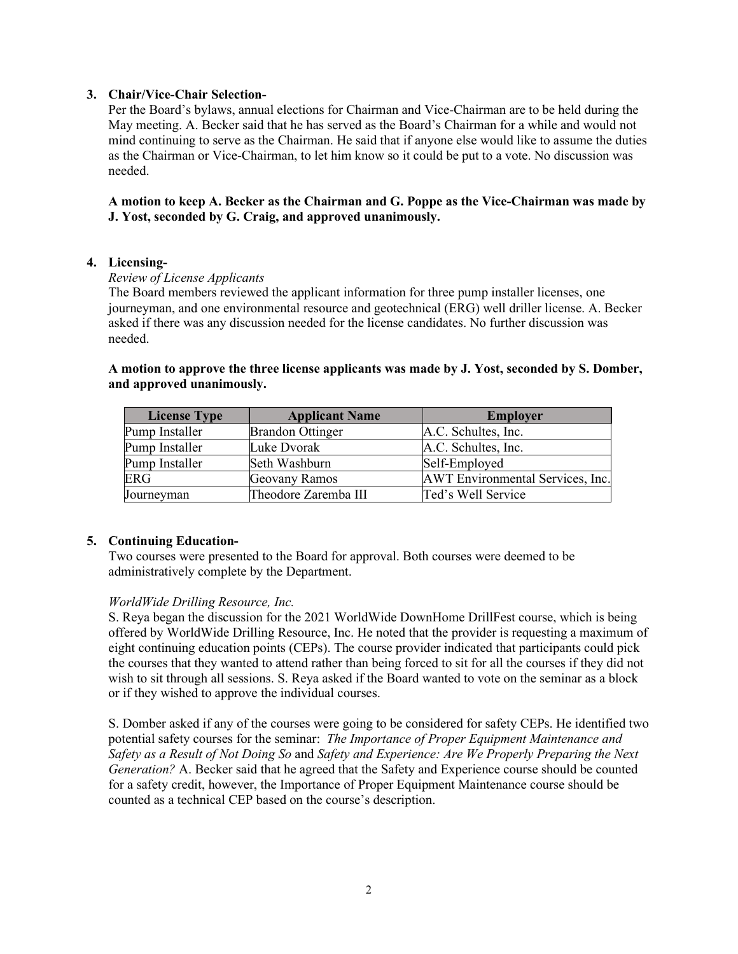# **3. Chair/Vice-Chair Selection-**

Per the Board's bylaws, annual elections for Chairman and Vice-Chairman are to be held during the May meeting. A. Becker said that he has served as the Board's Chairman for a while and would not mind continuing to serve as the Chairman. He said that if anyone else would like to assume the duties as the Chairman or Vice-Chairman, to let him know so it could be put to a vote. No discussion was needed.

**A motion to keep A. Becker as the Chairman and G. Poppe as the Vice-Chairman was made by J. Yost, seconded by G. Craig, and approved unanimously.**

#### **4. Licensing-**

#### *Review of License Applicants*

The Board members reviewed the applicant information for three pump installer licenses, one journeyman, and one environmental resource and geotechnical (ERG) well driller license. A. Becker asked if there was any discussion needed for the license candidates. No further discussion was needed.

# **A motion to approve the three license applicants was made by J. Yost, seconded by S. Domber, and approved unanimously.**

| <b>License Type</b> | <b>Applicant Name</b>   | <b>Employer</b>                  |
|---------------------|-------------------------|----------------------------------|
| Pump Installer      | <b>Brandon Ottinger</b> | A.C. Schultes, Inc.              |
| Pump Installer      | Luke Dvorak             | A.C. Schultes, Inc.              |
| Pump Installer      | Seth Washburn           | Self-Employed                    |
| <b>ERG</b>          | Geovany Ramos           | AWT Environmental Services, Inc. |
| Journeyman          | Theodore Zaremba III    | Ted's Well Service               |

#### **5. Continuing Education-**

Two courses were presented to the Board for approval. Both courses were deemed to be administratively complete by the Department.

#### *WorldWide Drilling Resource, Inc.*

S. Reya began the discussion for the 2021 WorldWide DownHome DrillFest course, which is being offered by WorldWide Drilling Resource, Inc. He noted that the provider is requesting a maximum of eight continuing education points (CEPs). The course provider indicated that participants could pick the courses that they wanted to attend rather than being forced to sit for all the courses if they did not wish to sit through all sessions. S. Reya asked if the Board wanted to vote on the seminar as a block or if they wished to approve the individual courses.

S. Domber asked if any of the courses were going to be considered for safety CEPs. He identified two potential safety courses for the seminar: *The Importance of Proper Equipment Maintenance and Safety as a Result of Not Doing So* and *Safety and Experience: Are We Properly Preparing the Next Generation?* A. Becker said that he agreed that the Safety and Experience course should be counted for a safety credit, however, the Importance of Proper Equipment Maintenance course should be counted as a technical CEP based on the course's description.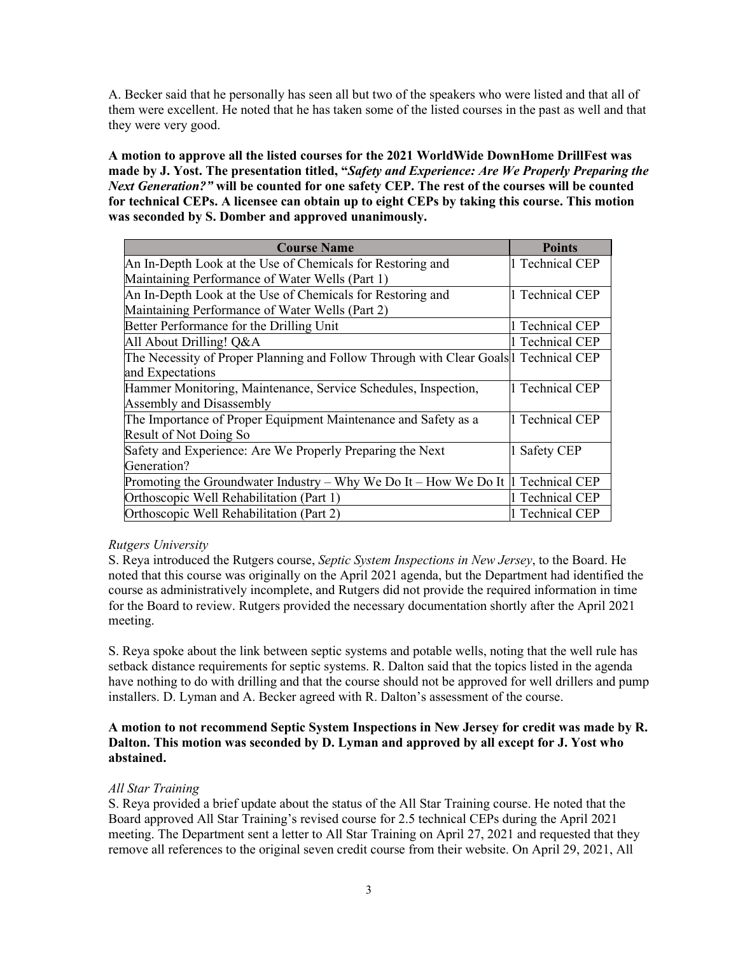A. Becker said that he personally has seen all but two of the speakers who were listed and that all of them were excellent. He noted that he has taken some of the listed courses in the past as well and that they were very good.

**A motion to approve all the listed courses for the 2021 WorldWide DownHome DrillFest was made by J. Yost. The presentation titled, "***Safety and Experience: Are We Properly Preparing the Next Generation?"* **will be counted for one safety CEP. The rest of the courses will be counted for technical CEPs. A licensee can obtain up to eight CEPs by taking this course. This motion was seconded by S. Domber and approved unanimously.**

| <b>Course Name</b>                                                                                 | <b>Points</b>        |
|----------------------------------------------------------------------------------------------------|----------------------|
| An In-Depth Look at the Use of Chemicals for Restoring and                                         | 1 Technical CEP      |
| Maintaining Performance of Water Wells (Part 1)                                                    |                      |
| An In-Depth Look at the Use of Chemicals for Restoring and                                         | 1 Technical CEP      |
| Maintaining Performance of Water Wells (Part 2)                                                    |                      |
| Better Performance for the Drilling Unit                                                           | 1 Technical CEP      |
| All About Drilling! Q&A                                                                            | 1 Technical CEP      |
| The Necessity of Proper Planning and Follow Through with Clear Goals <sup>[1</sup> ] Technical CEP |                      |
| and Expectations                                                                                   |                      |
| Hammer Monitoring, Maintenance, Service Schedules, Inspection,                                     | <b>Technical CEP</b> |
| <b>Assembly and Disassembly</b>                                                                    |                      |
| The Importance of Proper Equipment Maintenance and Safety as a                                     | <b>Technical CEP</b> |
| Result of Not Doing So                                                                             |                      |
| Safety and Experience: Are We Properly Preparing the Next                                          | Safety CEP           |
| Generation?                                                                                        |                      |
| Promoting the Groundwater Industry – Why We Do It – How We Do It   Technical CEP                   |                      |
| Orthoscopic Well Rehabilitation (Part 1)                                                           | 1 Technical CEP      |
| Orthoscopic Well Rehabilitation (Part 2)                                                           | 1 Technical CEP      |

# *Rutgers University*

S. Reya introduced the Rutgers course, *Septic System Inspections in New Jersey*, to the Board. He noted that this course was originally on the April 2021 agenda, but the Department had identified the course as administratively incomplete, and Rutgers did not provide the required information in time for the Board to review. Rutgers provided the necessary documentation shortly after the April 2021 meeting.

S. Reya spoke about the link between septic systems and potable wells, noting that the well rule has setback distance requirements for septic systems. R. Dalton said that the topics listed in the agenda have nothing to do with drilling and that the course should not be approved for well drillers and pump installers. D. Lyman and A. Becker agreed with R. Dalton's assessment of the course.

# **A motion to not recommend Septic System Inspections in New Jersey for credit was made by R. Dalton. This motion was seconded by D. Lyman and approved by all except for J. Yost who abstained.**

# *All Star Training*

S. Reya provided a brief update about the status of the All Star Training course. He noted that the Board approved All Star Training's revised course for 2.5 technical CEPs during the April 2021 meeting. The Department sent a letter to All Star Training on April 27, 2021 and requested that they remove all references to the original seven credit course from their website. On April 29, 2021, All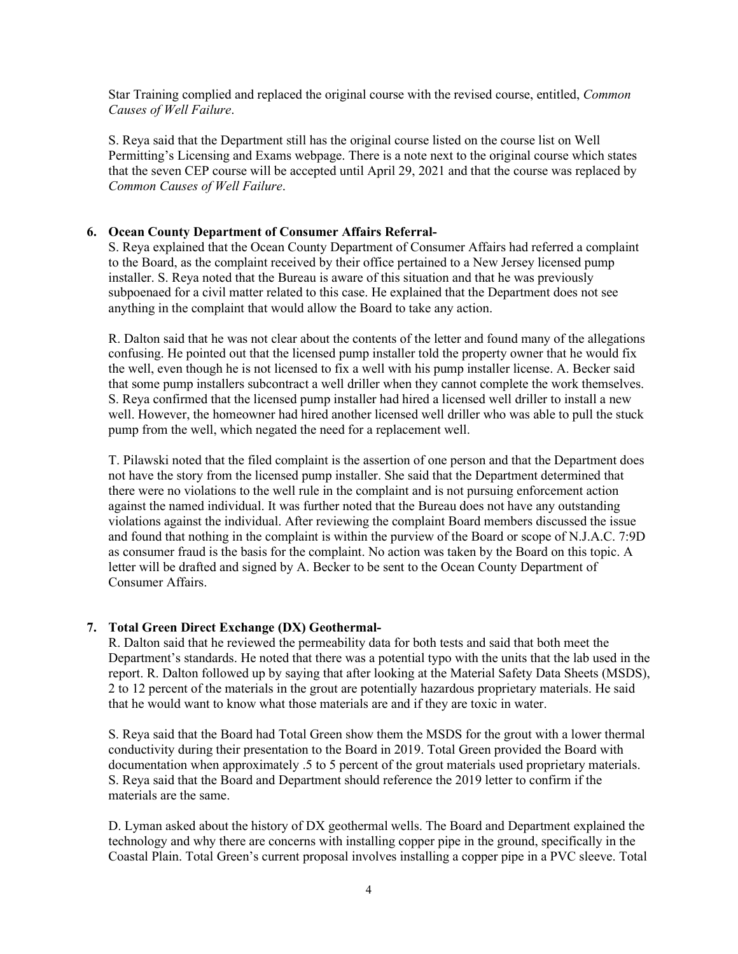Star Training complied and replaced the original course with the revised course, entitled, *Common Causes of Well Failure*.

S. Reya said that the Department still has the original course listed on the course list on Well Permitting's Licensing and Exams webpage. There is a note next to the original course which states that the seven CEP course will be accepted until April 29, 2021 and that the course was replaced by *Common Causes of Well Failure*.

# **6. Ocean County Department of Consumer Affairs Referral-**

S. Reya explained that the Ocean County Department of Consumer Affairs had referred a complaint to the Board, as the complaint received by their office pertained to a New Jersey licensed pump installer. S. Reya noted that the Bureau is aware of this situation and that he was previously subpoenaed for a civil matter related to this case. He explained that the Department does not see anything in the complaint that would allow the Board to take any action.

R. Dalton said that he was not clear about the contents of the letter and found many of the allegations confusing. He pointed out that the licensed pump installer told the property owner that he would fix the well, even though he is not licensed to fix a well with his pump installer license. A. Becker said that some pump installers subcontract a well driller when they cannot complete the work themselves. S. Reya confirmed that the licensed pump installer had hired a licensed well driller to install a new well. However, the homeowner had hired another licensed well driller who was able to pull the stuck pump from the well, which negated the need for a replacement well.

T. Pilawski noted that the filed complaint is the assertion of one person and that the Department does not have the story from the licensed pump installer. She said that the Department determined that there were no violations to the well rule in the complaint and is not pursuing enforcement action against the named individual. It was further noted that the Bureau does not have any outstanding violations against the individual. After reviewing the complaint Board members discussed the issue and found that nothing in the complaint is within the purview of the Board or scope of N.J.A.C. 7:9D as consumer fraud is the basis for the complaint. No action was taken by the Board on this topic. A letter will be drafted and signed by A. Becker to be sent to the Ocean County Department of Consumer Affairs.

# **7. Total Green Direct Exchange (DX) Geothermal-**

R. Dalton said that he reviewed the permeability data for both tests and said that both meet the Department's standards. He noted that there was a potential typo with the units that the lab used in the report. R. Dalton followed up by saying that after looking at the Material Safety Data Sheets (MSDS), 2 to 12 percent of the materials in the grout are potentially hazardous proprietary materials. He said that he would want to know what those materials are and if they are toxic in water.

S. Reya said that the Board had Total Green show them the MSDS for the grout with a lower thermal conductivity during their presentation to the Board in 2019. Total Green provided the Board with documentation when approximately .5 to 5 percent of the grout materials used proprietary materials. S. Reya said that the Board and Department should reference the 2019 letter to confirm if the materials are the same.

D. Lyman asked about the history of DX geothermal wells. The Board and Department explained the technology and why there are concerns with installing copper pipe in the ground, specifically in the Coastal Plain. Total Green's current proposal involves installing a copper pipe in a PVC sleeve. Total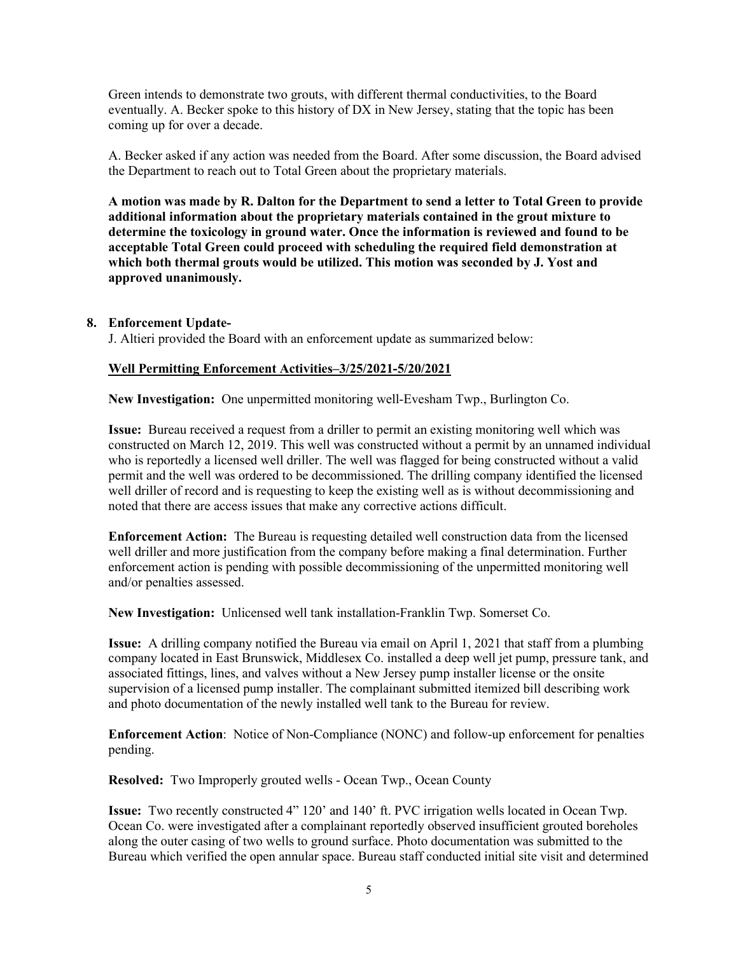Green intends to demonstrate two grouts, with different thermal conductivities, to the Board eventually. A. Becker spoke to this history of DX in New Jersey, stating that the topic has been coming up for over a decade.

A. Becker asked if any action was needed from the Board. After some discussion, the Board advised the Department to reach out to Total Green about the proprietary materials.

**A motion was made by R. Dalton for the Department to send a letter to Total Green to provide additional information about the proprietary materials contained in the grout mixture to determine the toxicology in ground water. Once the information is reviewed and found to be acceptable Total Green could proceed with scheduling the required field demonstration at which both thermal grouts would be utilized. This motion was seconded by J. Yost and approved unanimously.**

#### **8. Enforcement Update-**

J. Altieri provided the Board with an enforcement update as summarized below:

#### **Well Permitting Enforcement Activities–3/25/2021-5/20/2021**

**New Investigation:** One unpermitted monitoring well-Evesham Twp., Burlington Co.

**Issue:** Bureau received a request from a driller to permit an existing monitoring well which was constructed on March 12, 2019. This well was constructed without a permit by an unnamed individual who is reportedly a licensed well driller. The well was flagged for being constructed without a valid permit and the well was ordered to be decommissioned. The drilling company identified the licensed well driller of record and is requesting to keep the existing well as is without decommissioning and noted that there are access issues that make any corrective actions difficult.

**Enforcement Action:** The Bureau is requesting detailed well construction data from the licensed well driller and more justification from the company before making a final determination. Further enforcement action is pending with possible decommissioning of the unpermitted monitoring well and/or penalties assessed.

**New Investigation:** Unlicensed well tank installation-Franklin Twp. Somerset Co.

**Issue:** A drilling company notified the Bureau via email on April 1, 2021 that staff from a plumbing company located in East Brunswick, Middlesex Co. installed a deep well jet pump, pressure tank, and associated fittings, lines, and valves without a New Jersey pump installer license or the onsite supervision of a licensed pump installer. The complainant submitted itemized bill describing work and photo documentation of the newly installed well tank to the Bureau for review.

**Enforcement Action**: Notice of Non-Compliance (NONC) and follow-up enforcement for penalties pending.

**Resolved:** Two Improperly grouted wells - Ocean Twp., Ocean County

**Issue:** Two recently constructed 4" 120' and 140' ft. PVC irrigation wells located in Ocean Twp. Ocean Co. were investigated after a complainant reportedly observed insufficient grouted boreholes along the outer casing of two wells to ground surface. Photo documentation was submitted to the Bureau which verified the open annular space. Bureau staff conducted initial site visit and determined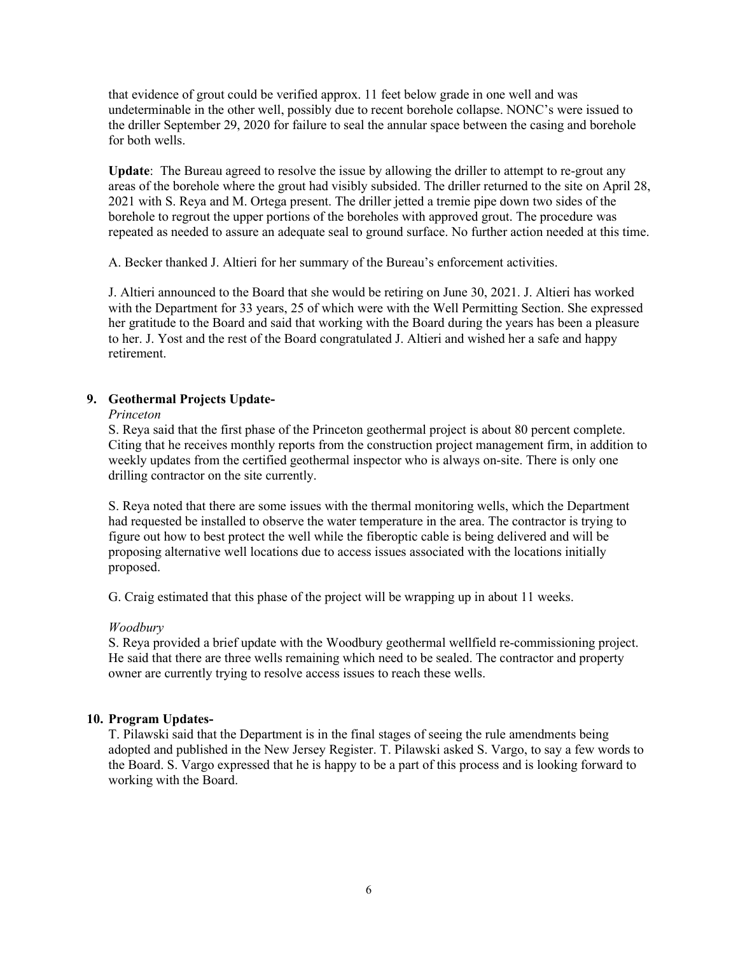that evidence of grout could be verified approx. 11 feet below grade in one well and was undeterminable in the other well, possibly due to recent borehole collapse. NONC's were issued to the driller September 29, 2020 for failure to seal the annular space between the casing and borehole for both wells.

**Update**: The Bureau agreed to resolve the issue by allowing the driller to attempt to re-grout any areas of the borehole where the grout had visibly subsided. The driller returned to the site on April 28, 2021 with S. Reya and M. Ortega present. The driller jetted a tremie pipe down two sides of the borehole to regrout the upper portions of the boreholes with approved grout. The procedure was repeated as needed to assure an adequate seal to ground surface. No further action needed at this time.

A. Becker thanked J. Altieri for her summary of the Bureau's enforcement activities.

J. Altieri announced to the Board that she would be retiring on June 30, 2021. J. Altieri has worked with the Department for 33 years, 25 of which were with the Well Permitting Section. She expressed her gratitude to the Board and said that working with the Board during the years has been a pleasure to her. J. Yost and the rest of the Board congratulated J. Altieri and wished her a safe and happy retirement.

# **9. Geothermal Projects Update-**

#### *Princeton*

S. Reya said that the first phase of the Princeton geothermal project is about 80 percent complete. Citing that he receives monthly reports from the construction project management firm, in addition to weekly updates from the certified geothermal inspector who is always on-site. There is only one drilling contractor on the site currently.

S. Reya noted that there are some issues with the thermal monitoring wells, which the Department had requested be installed to observe the water temperature in the area. The contractor is trying to figure out how to best protect the well while the fiberoptic cable is being delivered and will be proposing alternative well locations due to access issues associated with the locations initially proposed.

G. Craig estimated that this phase of the project will be wrapping up in about 11 weeks.

#### *Woodbury*

S. Reya provided a brief update with the Woodbury geothermal wellfield re-commissioning project. He said that there are three wells remaining which need to be sealed. The contractor and property owner are currently trying to resolve access issues to reach these wells.

# **10. Program Updates-**

T. Pilawski said that the Department is in the final stages of seeing the rule amendments being adopted and published in the New Jersey Register. T. Pilawski asked S. Vargo, to say a few words to the Board. S. Vargo expressed that he is happy to be a part of this process and is looking forward to working with the Board.